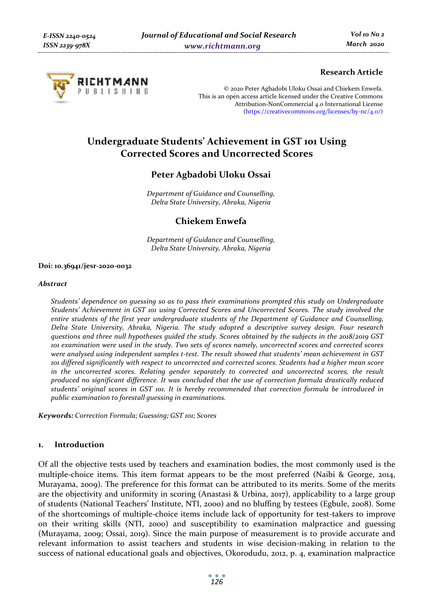

# **Research Article**

© 2020 Peter Agbadobi Uloku Ossai and Chiekem Enwefa. This is an open access article licensed under the Creative Commons Attribution-NonCommercial 4.0 International License (https://creativecommons.org/licenses/by-nc/4.0/)

# **Undergraduate Students' Achievement in GST 101 Using Corrected Scores and Uncorrected Scores**

# **Peter Agbadobi Uloku Ossai**

*Department of Guidance and Counselling, Delta State University, Abraka, Nigeria* 

# **Chiekem Enwefa**

*Department of Guidance and Counselling, Delta State University, Abraka, Nigeria* 

#### **Doi: 10.36941/jesr-2020-0032**

#### *Abstract*

*Students' dependence on guessing so as to pass their examinations prompted this study on Undergraduate Students' Achievement in GST 101 using Corrected Scores and Uncorrected Scores. The study involved the entire students of the first year undergraduate students of the Department of Guidance and Counselling, Delta State University, Abraka, Nigeria. The study adopted a descriptive survey design. Four research questions and three null hypotheses guided the study. Scores obtained by the subjects in the 2018/2019 GST 101 examination were used in the study. Two sets of scores namely, uncorrected scores and corrected scores were analysed using independent samples t-test. The result showed that students' mean achievement in GST 101 differed significantly with respect to uncorrected and corrected scores. Students had a higher mean score in the uncorrected scores. Relating gender separately to corrected and uncorrected scores, the result produced no significant difference. It was concluded that the use of correction formula drastically reduced students' original scores in GST 101. It is hereby recommended that correction formula be introduced in public examination to forestall guessing in examinations.* 

*Keywords: Correction Formula; Guessing; GST 101; Scores* 

# **1. Introduction**

Of all the objective tests used by teachers and examination bodies, the most commonly used is the multiple-choice items. This item format appears to be the most preferred (Naibi & George, 2014, Murayama, 2009). The preference for this format can be attributed to its merits. Some of the merits are the objectivity and uniformity in scoring (Anastasi & Urbina, 2017), applicability to a large group of students (National Teachers' Institute, NTI, 2000) and no bluffing by testees (Egbule, 2008). Some of the shortcomings of multiple-choice items include lack of opportunity for test-takers to improve on their writing skills (NTI, 2000) and susceptibility to examination malpractice and guessing (Murayama, 2009; Ossai, 2019). Since the main purpose of measurement is to provide accurate and relevant information to assist teachers and students in wise decision-making in relation to the success of national educational goals and objectives, Okorodudu, 2012, p. 4, examination malpractice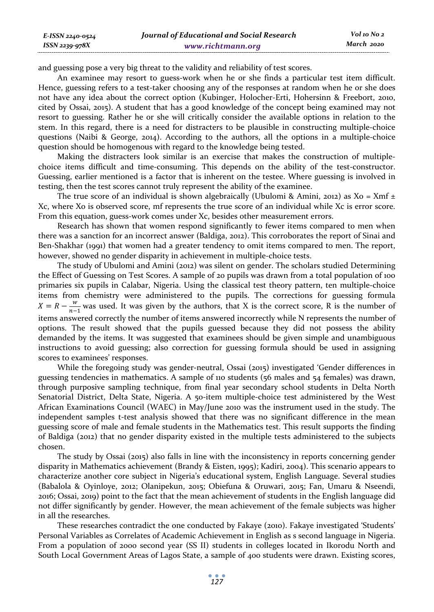and guessing pose a very big threat to the validity and reliability of test scores.

An examinee may resort to guess-work when he or she finds a particular test item difficult. Hence, guessing refers to a test-taker choosing any of the responses at random when he or she does not have any idea about the correct option (Kubinger, Holocher-Erti, Hohersinn & Freebort, 2010, cited by Ossai, 2015). A student that has a good knowledge of the concept being examined may not resort to guessing. Rather he or she will critically consider the available options in relation to the stem. In this regard, there is a need for distracters to be plausible in constructing multiple-choice questions (Naibi & George, 2014). According to the authors, all the options in a multiple-choice question should be homogenous with regard to the knowledge being tested.

Making the distracters look similar is an exercise that makes the construction of multiplechoice items difficult and time-consuming. This depends on the ability of the test-constructor. Guessing, earlier mentioned is a factor that is inherent on the testee. Where guessing is involved in testing, then the test scores cannot truly represent the ability of the examinee.

The true score of an individual is shown algebraically (Ubulomi & Amini, 2012) as  $Xo = Xmf \pm$ Xc, where Xo is observed score, mf represents the true score of an individual while Xc is error score. From this equation, guess-work comes under Xc, besides other measurement errors.

Research has shown that women respond significantly to fewer items compared to men when there was a sanction for an incorrect answer (Baldiga, 2012). This corroborates the report of Sinai and Ben-Shakhar (1991) that women had a greater tendency to omit items compared to men. The report, however, showed no gender disparity in achievement in multiple-choice tests.

The study of Ubulomi and Amini (2012) was silent on gender. The scholars studied Determining the Effect of Guessing on Test Scores. A sample of 20 pupils was drawn from a total population of 100 primaries six pupils in Calabar, Nigeria. Using the classical test theory pattern, ten multiple-choice items from chemistry were administered to the pupils. The corrections for guessing formula  $X = R - \frac{w}{n-1}$  was used. It was given by the authors, that X is the correct score, R is the number of items answered correctly the number of items answered incorrectly while N represents the number of options. The result showed that the pupils guessed because they did not possess the ability demanded by the items. It was suggested that examinees should be given simple and unambiguous instructions to avoid guessing; also correction for guessing formula should be used in assigning scores to examinees' responses.

While the foregoing study was gender-neutral, Ossai (2015) investigated 'Gender differences in guessing tendencies in mathematics. A sample of 110 students (56 males and 54 females) was drawn, through purposive sampling technique, from final year secondary school students in Delta North Senatorial District, Delta State, Nigeria. A 50-item multiple-choice test administered by the West African Examinations Council (WAEC) in May/June 2010 was the instrument used in the study. The independent samples t-test analysis showed that there was no significant difference in the mean guessing score of male and female students in the Mathematics test. This result supports the finding of Baldiga (2012) that no gender disparity existed in the multiple tests administered to the subjects chosen.

The study by Ossai (2015) also falls in line with the inconsistency in reports concerning gender disparity in Mathematics achievement (Brandy & Eisten, 1995); Kadiri, 2004). This scenario appears to characterize another core subject in Nigeria's educational system, English Language. Several studies (Babalola & Oyinloye, 2012; Olanipekun, 2015; Obiefuna & Oruwari, 2015; Fan, Umaru & Nseendi, 2016; Ossai, 2019) point to the fact that the mean achievement of students in the English language did not differ significantly by gender. However, the mean achievement of the female subjects was higher in all the researches.

These researches contradict the one conducted by Fakaye (2010). Fakaye investigated 'Students' Personal Variables as Correlates of Academic Achievement in English as s second language in Nigeria. From a population of 2000 second year (SS II) students in colleges located in Ikorodu North and South Local Government Areas of Lagos State, a sample of 400 students were drawn. Existing scores,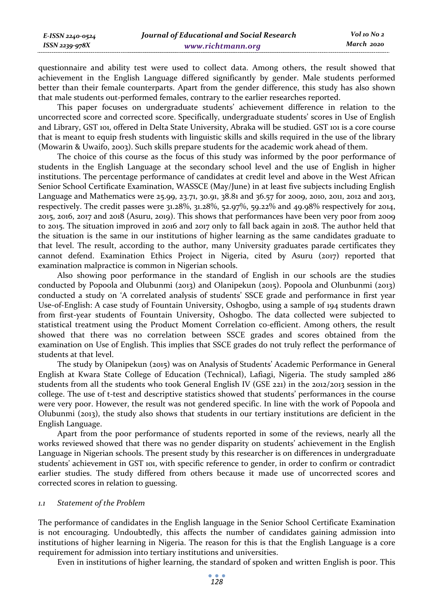questionnaire and ability test were used to collect data. Among others, the result showed that achievement in the English Language differed significantly by gender. Male students performed better than their female counterparts. Apart from the gender difference, this study has also shown that male students out-performed females, contrary to the earlier researches reported.

This paper focuses on undergraduate students' achievement difference in relation to the uncorrected score and corrected score. Specifically, undergraduate students' scores in Use of English and Library, GST 101, offered in Delta State University, Abraka will be studied. GST 101 is a core course that is meant to equip fresh students with linguistic skills and skills required in the use of the library (Mowarin & Uwaifo, 2003). Such skills prepare students for the academic work ahead of them.

The choice of this course as the focus of this study was informed by the poor performance of students in the English Language at the secondary school level and the use of English in higher institutions. The percentage performance of candidates at credit level and above in the West African Senior School Certificate Examination, WASSCE (May/June) in at least five subjects including English Language and Mathematics were 25.99, 23.71, 30.91, 38.81 and 36.57 for 2009, 2010, 2011, 2012 and 2013, respectively. The credit passes were 31.28%, 31.28%, 52.97%, 59.22% and 49.98% respectively for 2014, 2015, 2016, 2017 and 2018 (Asuru, 2019). This shows that performances have been very poor from 2009 to 2015. The situation improved in 2016 and 2017 only to fall back again in 2018. The author held that the situation is the same in our institutions of higher learning as the same candidates graduate to that level. The result, according to the author, many University graduates parade certificates they cannot defend. Examination Ethics Project in Nigeria, cited by Asuru (2017) reported that examination malpractice is common in Nigerian schools.

Also showing poor performance in the standard of English in our schools are the studies conducted by Popoola and Olubunmi (2013) and Olanipekun (2015). Popoola and Olunbunmi (2013) conducted a study on 'A correlated analysis of students' SSCE grade and performance in first year Use-of-English: A case study of Fountain University, Oshogbo, using a sample of 194 students drawn from first-year students of Fountain University, Oshogbo. The data collected were subjected to statistical treatment using the Product Moment Correlation co-efficient. Among others, the result showed that there was no correlation between SSCE grades and scores obtained from the examination on Use of English. This implies that SSCE grades do not truly reflect the performance of students at that level.

The study by Olanipekun (2015) was on Analysis of Students' Academic Performance in General English at Kwara State College of Education (Technical), Lafiagi, Nigeria. The study sampled 286 students from all the students who took General English IV (GSE 221) in the 2012/2013 session in the college. The use of t-test and descriptive statistics showed that students' performances in the course were very poor. However, the result was not gendered specific. In line with the work of Popoola and Olubunmi (2013), the study also shows that students in our tertiary institutions are deficient in the English Language.

Apart from the poor performance of students reported in some of the reviews, nearly all the works reviewed showed that there was no gender disparity on students' achievement in the English Language in Nigerian schools. The present study by this researcher is on differences in undergraduate students' achievement in GST 101, with specific reference to gender, in order to confirm or contradict earlier studies. The study differed from others because it made use of uncorrected scores and corrected scores in relation to guessing.

# *1.1 Statement of the Problem*

The performance of candidates in the English language in the Senior School Certificate Examination is not encouraging. Undoubtedly, this affects the number of candidates gaining admission into institutions of higher learning in Nigeria. The reason for this is that the English Language is a core requirement for admission into tertiary institutions and universities.

Even in institutions of higher learning, the standard of spoken and written English is poor. This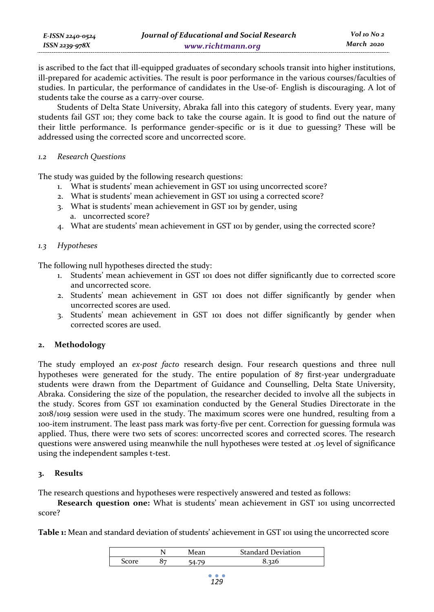| E-ISSN 2240-0524 | Journal of Educational and Social Research | Vol 10 No 2 |
|------------------|--------------------------------------------|-------------|
| ISSN 2239-978X   | www.richtmann.org                          | March 2020  |

is ascribed to the fact that ill-equipped graduates of secondary schools transit into higher institutions, ill-prepared for academic activities. The result is poor performance in the various courses/faculties of studies. In particular, the performance of candidates in the Use-of- English is discouraging. A lot of students take the course as a carry-over course.

Students of Delta State University, Abraka fall into this category of students. Every year, many students fail GST 101; they come back to take the course again. It is good to find out the nature of their little performance. Is performance gender-specific or is it due to guessing? These will be addressed using the corrected score and uncorrected score.

# *1.2 Research Questions*

The study was guided by the following research questions:

- 1. What is students' mean achievement in GST 101 using uncorrected score?
- 2. What is students' mean achievement in GST 101 using a corrected score?
- 3. What is students' mean achievement in GST 101 by gender, using a. uncorrected score?
- 4. What are students' mean achievement in GST 101 by gender, using the corrected score?

# *1.3 Hypotheses*

The following null hypotheses directed the study:

- 1. Students' mean achievement in GST 101 does not differ significantly due to corrected score and uncorrected score.
- 2. Students' mean achievement in GST 101 does not differ significantly by gender when uncorrected scores are used.
- 3. Students' mean achievement in GST 101 does not differ significantly by gender when corrected scores are used.

# **2. Methodology**

The study employed an *ex-post facto* research design. Four research questions and three null hypotheses were generated for the study. The entire population of 87 first-year undergraduate students were drawn from the Department of Guidance and Counselling, Delta State University, Abraka. Considering the size of the population, the researcher decided to involve all the subjects in the study. Scores from GST 101 examination conducted by the General Studies Directorate in the 2018/1019 session were used in the study. The maximum scores were one hundred, resulting from a 100-item instrument. The least pass mark was forty-five per cent. Correction for guessing formula was applied. Thus, there were two sets of scores: uncorrected scores and corrected scores. The research questions were answered using meanwhile the null hypotheses were tested at .05 level of significance using the independent samples t-test.

# **3. Results**

The research questions and hypotheses were respectively answered and tested as follows:

**Research question one:** What is students' mean achievement in GST 101 using uncorrected score?

**Table 1:** Mean and standard deviation of students' achievement in GST 101 using the uncorrected score

|   |  | <b>Standard Deviation</b> |  |  |
|---|--|---------------------------|--|--|
| v |  |                           |  |  |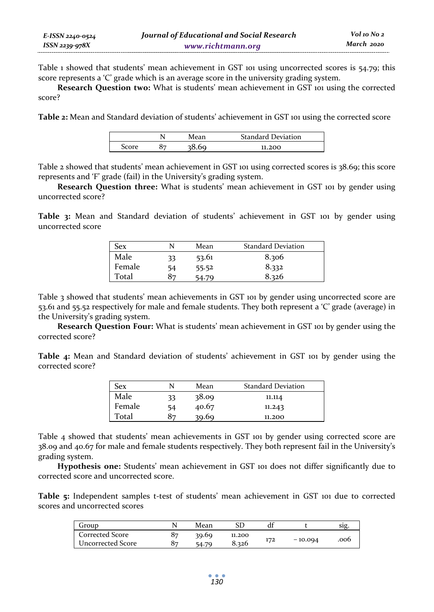Table 1 showed that students' mean achievement in GST 101 using uncorrected scores is 54.79; this score represents a 'C' grade which is an average score in the university grading system.

**Research Question two:** What is students' mean achievement in GST 101 using the corrected score?

**Table 2:** Mean and Standard deviation of students' achievement in GST 101 using the corrected score

|   |  | <b>Standard Deviation</b> |  |  |
|---|--|---------------------------|--|--|
| ◡ |  | 11.200                    |  |  |

Table 2 showed that students' mean achievement in GST 101 using corrected scores is 38.69; this score represents and 'F' grade (fail) in the University's grading system.

**Research Question three:** What is students' mean achievement in GST 101 by gender using uncorrected score?

**Table 3:** Mean and Standard deviation of students' achievement in GST 101 by gender using uncorrected score

| <b>Sex</b> |    | Mean  | <b>Standard Deviation</b> |
|------------|----|-------|---------------------------|
| Male       | 33 | 53.61 | 8.306                     |
| Female     | 54 | 55.52 | 8.332                     |
| Total      | 87 | 54.79 | 8.326                     |

Table 3 showed that students' mean achievements in GST 101 by gender using uncorrected score are 53.61 and 55.52 respectively for male and female students. They both represent a 'C' grade (average) in the University's grading system.

**Research Question Four:** What is students' mean achievement in GST 101 by gender using the corrected score?

**Table 4:** Mean and Standard deviation of students' achievement in GST 101 by gender using the corrected score?

| Sex    |     | Mean  | <b>Standard Deviation</b> |
|--------|-----|-------|---------------------------|
| Male   | 33. | 38.09 | 11.114                    |
| Female | 54  | 40.67 | 11.243                    |
| Total  | 87  | 39.69 | 11.200                    |

Table 4 showed that students' mean achievements in GST 101 by gender using corrected score are 38.09 and 40.67 for male and female students respectively. They both represent fail in the University's grading system.

**Hypothesis one:** Students' mean achievement in GST 101 does not differ significantly due to corrected score and uncorrected score.

**Table 5:** Independent samples t-test of students' mean achievement in GST 101 due to corrected scores and uncorrected scores

| Group             |    | Mean  |        |     |           | S1º  |
|-------------------|----|-------|--------|-----|-----------|------|
| Corrected Score   | 87 | 39.69 | 11.200 |     |           |      |
| Uncorrected Score | 87 | 54.   | 8.326  | 172 | $-10.094$ | .006 |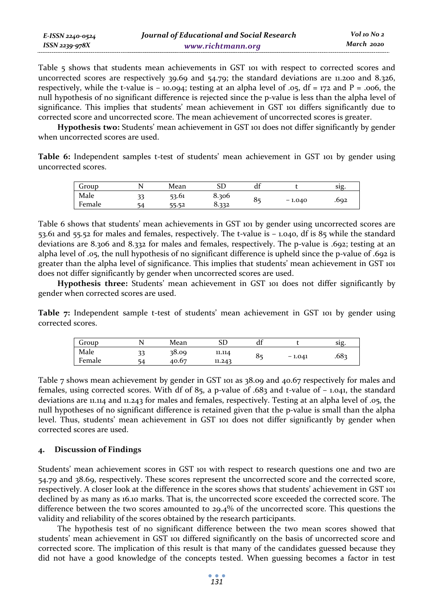| E-ISSN 2240-0524 | Journal of Educational and Social Research | Vol 10 No 2 |
|------------------|--------------------------------------------|-------------|
| ISSN 2239-978X   | www.richtmann.org                          | March 2020  |

Table 5 shows that students mean achievements in GST 101 with respect to corrected scores and uncorrected scores are respectively 39.69 and 54.79; the standard deviations are 11.200 and 8.326, respectively, while the t-value is  $-10.094$ ; testing at an alpha level of .05, df = 172 and P = .006, the null hypothesis of no significant difference is rejected since the p-value is less than the alpha level of significance. This implies that students' mean achievement in GST 101 differs significantly due to corrected score and uncorrected score. The mean achievement of uncorrected scores is greater.

**Hypothesis two:** Students' mean achievement in GST 101 does not differ significantly by gender when uncorrected scores are used.

**Table 6:** Independent samples t-test of students' mean achievement in GST 101 by gender using uncorrected scores.

| Group       |    | Mean  | cг<br>DГ | 10<br>đt |          | SIg. |
|-------------|----|-------|----------|----------|----------|------|
| Male        |    | 53.61 | 8.306    | 85       |          |      |
| е<br>Female | 54 | 55.52 | 8.332    |          | $-1.040$ | .692 |

Table 6 shows that students' mean achievements in GST 101 by gender using uncorrected scores are 53.61 and 55.52 for males and females, respectively. The t-value is – 1.040, df is 85 while the standard deviations are 8.306 and 8.332 for males and females, respectively. The p-value is .692; testing at an alpha level of .05, the null hypothesis of no significant difference is upheld since the p-value of .692 is greater than the alpha level of significance. This implies that students' mean achievement in GST 101 does not differ significantly by gender when uncorrected scores are used.

**Hypothesis three:** Students' mean achievement in GST 101 does not differ significantly by gender when corrected scores are used.

Table 7: Independent sample t-test of students' mean achievement in GST 101 by gender using corrected scores.

| Group  |    | Mean  |        | u                   |          | S1Q.             |
|--------|----|-------|--------|---------------------|----------|------------------|
| Male   | າາ | 38.09 | 11.114 | $\mathbf{o}$ .<br>٥ | $-1.041$ | .68 <sup>2</sup> |
| Female | ۲4 | 40.67 | 11.243 |                     |          |                  |

Table 7 shows mean achievement by gender in GST 101 as 38.09 and 40.67 respectively for males and females, using corrected scores. With df of 85, a p-value of .683 and t-value of  $-$  1.041, the standard deviations are 11.114 and 11.243 for males and females, respectively. Testing at an alpha level of .05, the null hypotheses of no significant difference is retained given that the p-value is small than the alpha level. Thus, students' mean achievement in GST 101 does not differ significantly by gender when corrected scores are used.

# **4. Discussion of Findings**

Students' mean achievement scores in GST 101 with respect to research questions one and two are 54.79 and 38.69, respectively. These scores represent the uncorrected score and the corrected score, respectively. A closer look at the difference in the scores shows that students' achievement in GST 101 declined by as many as 16.10 marks. That is, the uncorrected score exceeded the corrected score. The difference between the two scores amounted to 29.4% of the uncorrected score. This questions the validity and reliability of the scores obtained by the research participants.

The hypothesis test of no significant difference between the two mean scores showed that students' mean achievement in GST 101 differed significantly on the basis of uncorrected score and corrected score. The implication of this result is that many of the candidates guessed because they did not have a good knowledge of the concepts tested. When guessing becomes a factor in test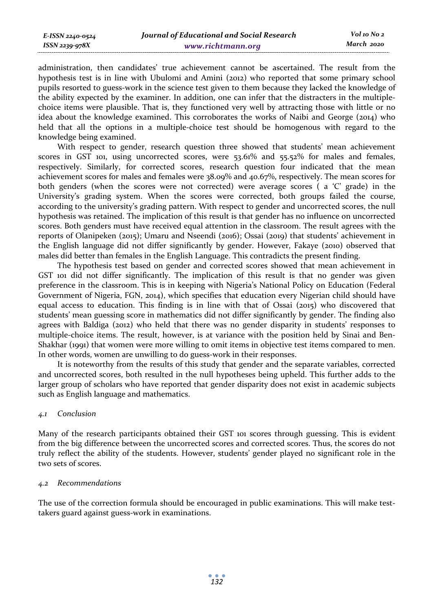administration, then candidates' true achievement cannot be ascertained. The result from the hypothesis test is in line with Ubulomi and Amini (2012) who reported that some primary school pupils resorted to guess-work in the science test given to them because they lacked the knowledge of the ability expected by the examiner. In addition, one can infer that the distracters in the multiplechoice items were plausible. That is, they functioned very well by attracting those with little or no idea about the knowledge examined. This corroborates the works of Naibi and George (2014) who held that all the options in a multiple-choice test should be homogenous with regard to the knowledge being examined.

With respect to gender, research question three showed that students' mean achievement scores in GST 101, using uncorrected scores, were 53.61% and 55.52% for males and females, respectively. Similarly, for corrected scores, research question four indicated that the mean achievement scores for males and females were 38.09% and 40.67%, respectively. The mean scores for both genders (when the scores were not corrected) were average scores ( a 'C' grade) in the University's grading system. When the scores were corrected, both groups failed the course, according to the university's grading pattern. With respect to gender and uncorrected scores, the null hypothesis was retained. The implication of this result is that gender has no influence on uncorrected scores. Both genders must have received equal attention in the classroom. The result agrees with the reports of Olanipeken (2015); Umaru and Nseendi (2016); Ossai (2019) that students' achievement in the English language did not differ significantly by gender. However, Fakaye (2010) observed that males did better than females in the English Language. This contradicts the present finding.

The hypothesis test based on gender and corrected scores showed that mean achievement in GST 101 did not differ significantly. The implication of this result is that no gender was given preference in the classroom. This is in keeping with Nigeria's National Policy on Education (Federal Government of Nigeria, FGN, 2014), which specifies that education every Nigerian child should have equal access to education. This finding is in line with that of Ossai (2015) who discovered that students' mean guessing score in mathematics did not differ significantly by gender. The finding also agrees with Baldiga (2012) who held that there was no gender disparity in students' responses to multiple-choice items. The result, however, is at variance with the position held by Sinai and Ben-Shakhar (1991) that women were more willing to omit items in objective test items compared to men. In other words, women are unwilling to do guess-work in their responses.

It is noteworthy from the results of this study that gender and the separate variables, corrected and uncorrected scores, both resulted in the null hypotheses being upheld. This further adds to the larger group of scholars who have reported that gender disparity does not exist in academic subjects such as English language and mathematics.

# *4.1 Conclusion*

Many of the research participants obtained their GST 101 scores through guessing. This is evident from the big difference between the uncorrected scores and corrected scores. Thus, the scores do not truly reflect the ability of the students. However, students' gender played no significant role in the two sets of scores.

# *4.2 Recommendations*

The use of the correction formula should be encouraged in public examinations. This will make testtakers guard against guess-work in examinations.